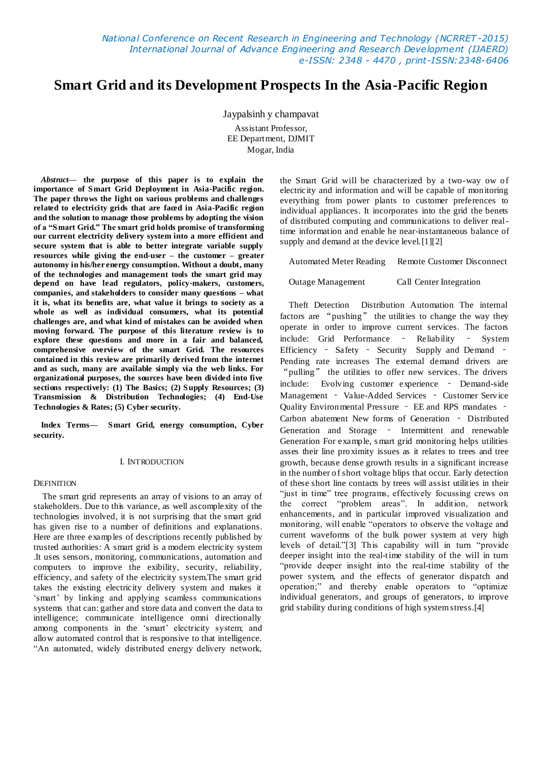*National Conference on Recent Research in Engineering and Technology (NCRRET -2015) International Journal of Advance Engineering and Research Development (IJAERD) e-ISSN: 2348 - 4470 , print-ISSN:2348-6406*

# **Smart Grid and its Development Prospects In the Asia-Pacific Region**

Jaypalsinh y champavat Assistant Professor, EE Department, DJMIT Mogar, India

*Abstract***— the purpose of this paper is to explain the importance of Smart Grid Deployment in Asia-Pacific region. The paper throws the light on various problems and challenges related to electricity grids that are faced in Asia-Pacific region and the solution to manage those problems by adopting the vision of a ―Smart Grid.‖ The smart grid holds promise of transforming**  our current electricity delivery system into a more efficient and **secure system that is able to better integrate variable supply resources while giving the end-user – the customer – greater autonomy in his/her energy consumption. Without a doubt, many of the technologies and management tools the smart grid may depend on have lead regulators, policy-makers, customers, companies, and stakeholders to consider many questions – what it is, what its benefits are, what value it brings to society as a whole as well as individual consumers, what its potential challenges are, and what kind of mistakes can be avoided when moving forward. The purpose of this literature review is to explore these questions and more in a fair and balanced, comprehensive overview of the smart Grid. The resources contained in this review are primarily derived from the internet and as such, many are available simply via the web links. For organizational purposes, the sources have been divided into five sections respectively: (1) The Basics; (2) Supply Resources; (3) Transmission & Distribution Technologies; (4) End-Use Technologies & Rates; (5) Cyber security.**

**Index Terms— Smart Grid, energy consumption, Cyber security.**

## I. INTRODUCTION

## **DEFINITION**

The smart grid represents an array of visions to an array of stakeholders. Due to this variance, as well ascomplexity of the technologies involved, it is not surprising that the smart grid has given rise to a number of definitions and explanations. Here are three examples of descriptions recently published by trusted authorities: A smart grid is a modern electricity system .It uses sensors, monitoring, communications, automation and computers to improve the exibility, security, reliability, efficiency, and safety of the electricity system.The smart grid takes the existing electricity delivery system and makes it 'smart' by linking and applying seamless communications systems that can: gather and store data and convert the data to intelligence; communicate intelligence omni directionally among components in the 'smart' electricity system; and allow automated control that is responsive to that intelligence. "An automated, widely distributed energy delivery network,

the Smart Grid will be characterized by a two-way ow of electricity and information and will be capable of monitoring everything from power plants to customer preferences to individual appliances. It incorporates into the grid the benets of distributed computing and communications to deliver realtime information and enable he near-instantaneous balance of supply and demand at the device level. [1][2]

Automated Meter Reading Remote Customer Disconnect

Outage Management Call Center Integration

Theft Detection Distribution Automation The internal factors are "pushing" the utilities to change the way they operate in order to improve current services. The factors include: Grid Performance ‐ Reliability ‐ System Efficiency - Safety - Security Supply and Demand -Pending rate increases The external demand drivers are "pulling" the utilities to offer new services. The drivers include: Evolving customer experience ‐ Demand-side Management - Value-Added Services - Customer Service Quality Environmental Pressure ‐ EE and RPS mandates ‐ Carbon abatement New forms of Generation ‐ Distributed Generation and Storage - Intermittent and renewable Generation For example, s mart grid monitoring helps utilities asses their line proximity issues as it relates to trees and tree growth, because dense growth results in a significant increase in the number of short voltage blips that occur. Early detection of these short line contacts by trees will assist utilities in their "just in time" tree programs, effectively focussing crews on the correct "problem areas". In addition, network enhancements, and in particular improved visualization and monitoring, will enable "operators to observe the voltage and current waveforms of the bulk power system at very high levels of detail."[3] This capability will in turn "provide deeper insight into the real-time stability of the will in turn "provide deeper insight into the real-time stability of the power system, and the effects of generator dispatch and operation;" and thereby enable operators to "optimize individual generators, and groups of generators, to improve grid stability during conditions of high system stress.[4]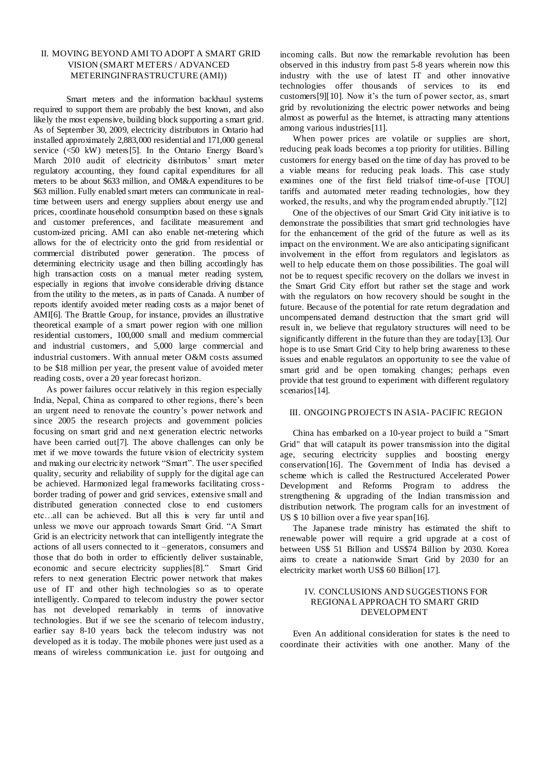# II. MOVING BEYOND AMI TO ADOPT A SMART GRID VISION (SMART METERS / ADVANCED METERINGINFRASTRUCTURE (AMI))

Smart meters and the information backhaul systems required to support them are probably the best known, and also likely the most expensive, building block supporting a smart grid. As of September 30, 2009, electricity distributors in Ontario had installed approximately 2,883,000 residential and 171,000 general service (<50 kW) meters[5]. In the Ontario Energy Board's March 2010 audit of electricity distributors' smart meter regulatory accounting, they found capital expenditures for all meters to be about \$633 million, and OM&A expenditures to be \$63 million. Fully enabled smart meters can communicate in realtime between users and energy suppliers about energy use and prices, coordinate household consumption based on these signals and customer preferences, and facilitate measurement and custom-ized pricing. AMI can also enable net-metering which allows for the of electricity onto the grid from residential or commercial distributed power generation. The process of determining electricity usage and then billing accordingly has high transaction costs on a manual meter reading system, especially in regions that involve considerable driving distance from the utility to the meters, as in parts of Canada. A number of reports identify avoided meter reading costs as a major benet of AMI[6]. The Brattle Group, for instance, provides an illustrative theoretical example of a smart power region with one million residential customers, 100,000 small and medium commercial and industrial customers, and 5,000 large commercial and industrial customers. With annual meter O&M costs assumed to be \$18 million per year, the present value of avoided meter reading costs, over a 20 year forecast horizon.

As power failures occur relatively in this region especially India, Nepal, China as compared to other regions, there"s been an urgent need to renovate the country's power network and since 2005 the research projects and government policies focusing on smart grid and next generation electric networks have been carried out[7]. The above challenges can only be met if we move towards the future vision of electricity system and making our electricity network "Smart". The user specified quality, security and reliability of supply for the digital age can be achieved. Harmonized legal frameworks facilitating crossborder trading of power and grid services, extensive small and distributed generation connected close to end customers etc…all can be achieved. But all this is very far until and unless we move our approach towards Smart Grid. "A Smart Grid is an electricity network that can intelligently integrate the actions of all users connected to it –generators, consumers and those that do both in order to efficiently deliver sustainable, economic and secure electricity supplies[8]." Smart Grid refers to next generation Electric power network that makes use of IT and other high technologies so as to operate intelligently. Compared to telecom industry the power sector has not developed remarkably in terms of innovative technologies. But if we see the scenario of telecom industry, earlier say 8-10 years back the telecom industry was not developed as it is today. The mobile phones were just used as a means of wireless communication i.e. just for outgoing and

incoming calls. But now the remarkable revolution has been observed in this industry from past 5-8 years wherein now this industry with the use of latest IT and other innovative technologies offer thousands of services to its end customers [9][10]. Now it's the turn of power sector, as, smart grid by revolutionizing the electric power networks and being almost as powerful as the Internet, is attracting many attentions among various industries[11].

When power prices are volatile or supplies are short, reducing peak loads becomes a top priority for utilities. Billing customers for energy based on the time of day has proved to be a viable means for reducing peak loads. This case study examines one of the first field trialsof time-of-use [TOU] tariffs and automated meter reading technologies, how they worked, the results, and why the program ended abruptly."[12]

One of the objectives of our Smart Grid City initiative is to demonstrate the possibilities that smart grid technologies have for the enhancement of the grid of the future as well as its impact on the environment. We are also anticipating significant involvement in the effort from regulators and legislators as well to help educate them on those possibilities. The goal will not be to request specific recovery on the dollars we invest in the Smart Grid City effort but rather set the stage and work with the regulators on how recovery should be sought in the future. Because of the potential for rate return degradation and uncompensated demand destruction that the smart grid will result in, we believe that regulatory structures will need to be significantly different in the future than they are today[13]. Our hope is to use Smart Grid City to help bring awareness to these issues and enable regulators an opportunity to see the value of smart grid and be open tomaking changes; perhaps even provide that test ground to experiment with different regulatory scenarios<sup>[14]</sup>.

## III. ONGOINGPROJECTS IN ASIA- PACIFIC REGION

China has embarked on a 10-year project to build a "Smart Grid" that will catapult its power transmission into the digital age, securing electricity supplies and boosting energy conservation[16]. The Government of India has devised a scheme which is called the Restructured Accelerated Power Development and Reforms Program to address the strengthening & upgrading of the Indian transmission and distribution network. The program calls for an investment of US \$10 billion over a five year span[16].

The Japanese trade ministry has estimated the shift to renewable power will require a grid upgrade at a cost of between US\$ 51 Billion and US\$74 Billion by 2030. Korea aims to create a nationwide Smart Grid by 2030 for an electricity market worth US\$ 60 Billion[17].

## IV. CONCLUSIONS AND SUGGESTIONS FOR REGIONAL APPROACH TO SMART GRID DEVELOPMENT

Even An additional consideration for states is the need to coordinate their activities with one another. Many of the